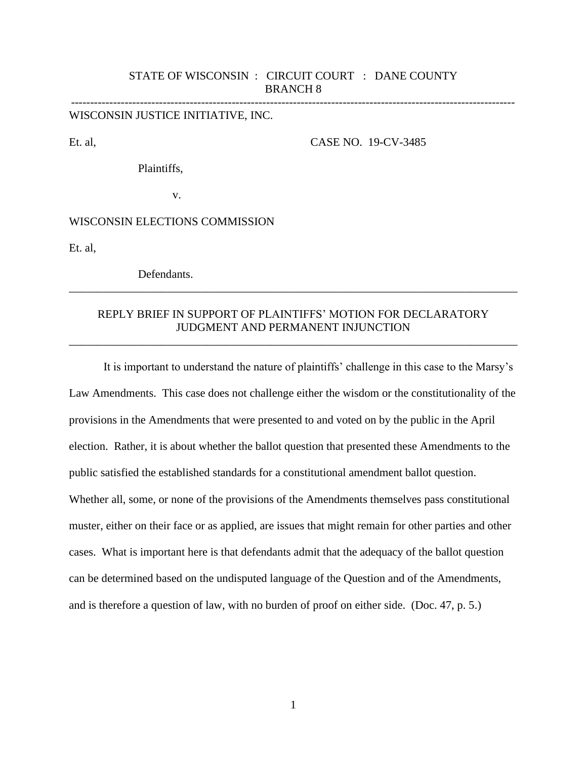### STATE OF WISCONSIN : CIRCUIT COURT : DANE COUNTY BRANCH 8

--------------------------------------------------------------------------------------------------------------------

WISCONSIN JUSTICE INITIATIVE, INC.

Et. al, CASE NO. 19-CV-3485

Plaintiffs,

v.

### WISCONSIN ELECTIONS COMMISSION

Et. al,

Defendants.

# REPLY BRIEF IN SUPPORT OF PLAINTIFFS' MOTION FOR DECLARATORY JUDGMENT AND PERMANENT INJUNCTION

\_\_\_\_\_\_\_\_\_\_\_\_\_\_\_\_\_\_\_\_\_\_\_\_\_\_\_\_\_\_\_\_\_\_\_\_\_\_\_\_\_\_\_\_\_\_\_\_\_\_\_\_\_\_\_\_\_\_\_\_\_\_\_\_\_\_\_\_\_\_\_\_\_\_\_\_\_\_

\_\_\_\_\_\_\_\_\_\_\_\_\_\_\_\_\_\_\_\_\_\_\_\_\_\_\_\_\_\_\_\_\_\_\_\_\_\_\_\_\_\_\_\_\_\_\_\_\_\_\_\_\_\_\_\_\_\_\_\_\_\_\_\_\_\_\_\_\_\_\_\_\_\_\_\_\_\_

It is important to understand the nature of plaintiffs' challenge in this case to the Marsy's Law Amendments. This case does not challenge either the wisdom or the constitutionality of the provisions in the Amendments that were presented to and voted on by the public in the April election. Rather, it is about whether the ballot question that presented these Amendments to the public satisfied the established standards for a constitutional amendment ballot question. Whether all, some, or none of the provisions of the Amendments themselves pass constitutional muster, either on their face or as applied, are issues that might remain for other parties and other cases. What is important here is that defendants admit that the adequacy of the ballot question can be determined based on the undisputed language of the Question and of the Amendments, and is therefore a question of law, with no burden of proof on either side. (Doc. 47, p. 5.)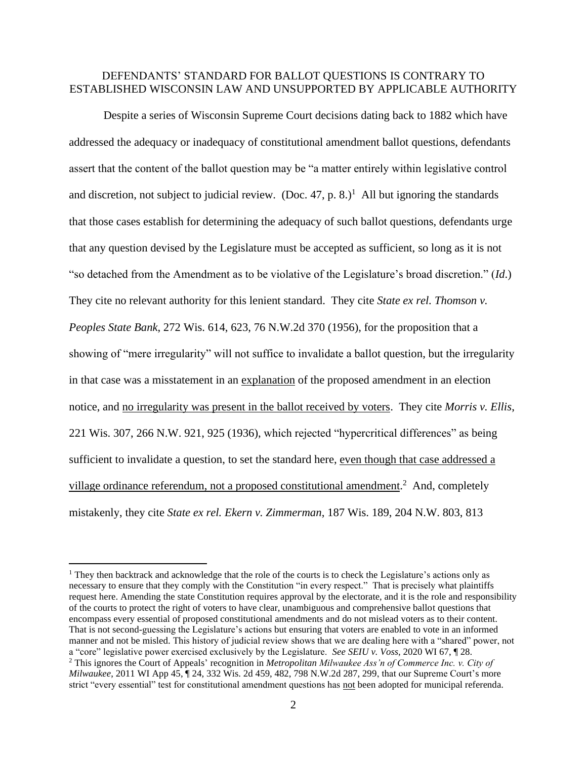### DEFENDANTS' STANDARD FOR BALLOT QUESTIONS IS CONTRARY TO ESTABLISHED WISCONSIN LAW AND UNSUPPORTED BY APPLICABLE AUTHORITY

Despite a series of Wisconsin Supreme Court decisions dating back to 1882 which have addressed the adequacy or inadequacy of constitutional amendment ballot questions, defendants assert that the content of the ballot question may be "a matter entirely within legislative control and discretion, not subject to judicial review. (Doc. 47, p. 8.)<sup>1</sup> All but ignoring the standards that those cases establish for determining the adequacy of such ballot questions, defendants urge that any question devised by the Legislature must be accepted as sufficient, so long as it is not "so detached from the Amendment as to be violative of the Legislature's broad discretion." (*Id*.) They cite no relevant authority for this lenient standard. They cite *State ex rel. Thomson v. Peoples State Bank*, 272 Wis. 614, 623, 76 N.W.2d 370 (1956), for the proposition that a showing of "mere irregularity" will not suffice to invalidate a ballot question, but the irregularity in that case was a misstatement in an explanation of the proposed amendment in an election notice, and no irregularity was present in the ballot received by voters. They cite *Morris v. Ellis*, 221 Wis. 307, 266 N.W. 921, 925 (1936), which rejected "hypercritical differences" as being sufficient to invalidate a question, to set the standard here, even though that case addressed a village ordinance referendum, not a proposed constitutional amendment.<sup>2</sup> And, completely mistakenly, they cite *State ex rel. Ekern v. Zimmerman*, 187 Wis. 189, 204 N.W. 803, 813

<sup>&</sup>lt;sup>1</sup> They then backtrack and acknowledge that the role of the courts is to check the Legislature's actions only as necessary to ensure that they comply with the Constitution "in every respect." That is precisely what plaintiffs request here. Amending the state Constitution requires approval by the electorate, and it is the role and responsibility of the courts to protect the right of voters to have clear, unambiguous and comprehensive ballot questions that encompass every essential of proposed constitutional amendments and do not mislead voters as to their content. That is not second-guessing the Legislature's actions but ensuring that voters are enabled to vote in an informed manner and not be misled. This history of judicial review shows that we are dealing here with a "shared" power, not a "core" legislative power exercised exclusively by the Legislature. *See SEIU v. Voss*, 2020 WI 67, ¶ 28. <sup>2</sup> This ignores the Court of Appeals' recognition in *Metropolitan Milwaukee Ass'n of Commerce Inc. v. City of Milwaukee*, 2011 WI App 45, ¶ 24, 332 Wis. 2d 459, 482, 798 N.W.2d 287, 299, that our Supreme Court's more strict "every essential" test for constitutional amendment questions has not been adopted for municipal referenda.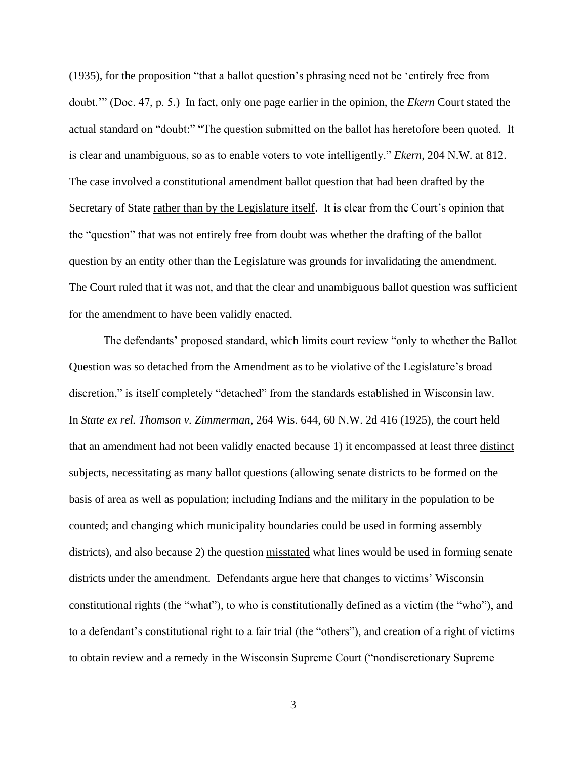(1935), for the proposition "that a ballot question's phrasing need not be 'entirely free from doubt.'" (Doc. 47, p. 5.) In fact, only one page earlier in the opinion, the *Ekern* Court stated the actual standard on "doubt:" "The question submitted on the ballot has heretofore been quoted. It is clear and unambiguous, so as to enable voters to vote intelligently." *Ekern*, 204 N.W. at 812. The case involved a constitutional amendment ballot question that had been drafted by the Secretary of State rather than by the Legislature itself. It is clear from the Court's opinion that the "question" that was not entirely free from doubt was whether the drafting of the ballot question by an entity other than the Legislature was grounds for invalidating the amendment. The Court ruled that it was not, and that the clear and unambiguous ballot question was sufficient for the amendment to have been validly enacted.

The defendants' proposed standard, which limits court review "only to whether the Ballot Question was so detached from the Amendment as to be violative of the Legislature's broad discretion," is itself completely "detached" from the standards established in Wisconsin law. In *State ex rel. Thomson v. Zimmerman*, 264 Wis. 644, 60 N.W. 2d 416 (1925), the court held that an amendment had not been validly enacted because 1) it encompassed at least three distinct subjects, necessitating as many ballot questions (allowing senate districts to be formed on the basis of area as well as population; including Indians and the military in the population to be counted; and changing which municipality boundaries could be used in forming assembly districts), and also because 2) the question misstated what lines would be used in forming senate districts under the amendment. Defendants argue here that changes to victims' Wisconsin constitutional rights (the "what"), to who is constitutionally defined as a victim (the "who"), and to a defendant's constitutional right to a fair trial (the "others"), and creation of a right of victims to obtain review and a remedy in the Wisconsin Supreme Court ("nondiscretionary Supreme

3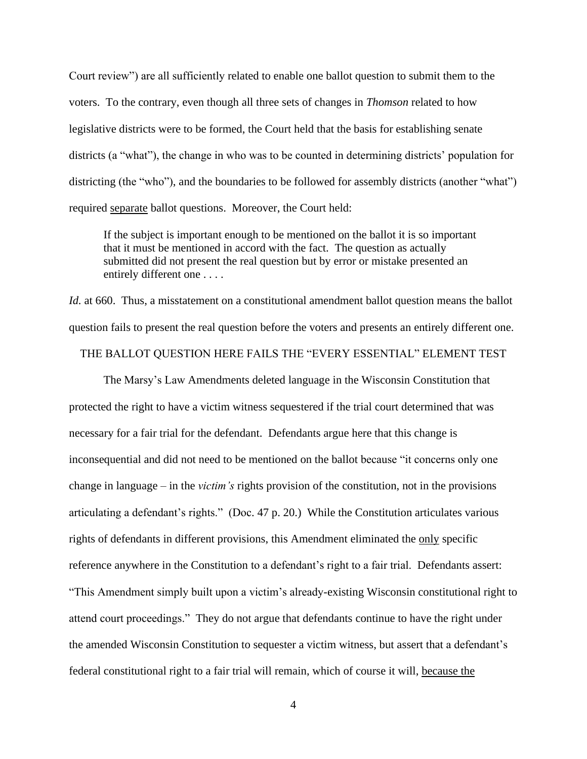Court review") are all sufficiently related to enable one ballot question to submit them to the voters. To the contrary, even though all three sets of changes in *Thomson* related to how legislative districts were to be formed, the Court held that the basis for establishing senate districts (a "what"), the change in who was to be counted in determining districts' population for districting (the "who"), and the boundaries to be followed for assembly districts (another "what") required separate ballot questions. Moreover, the Court held:

If the subject is important enough to be mentioned on the ballot it is so important that it must be mentioned in accord with the fact. The question as actually submitted did not present the real question but by error or mistake presented an entirely different one . . . .

*Id.* at 660. Thus, a misstatement on a constitutional amendment ballot question means the ballot question fails to present the real question before the voters and presents an entirely different one.

### THE BALLOT QUESTION HERE FAILS THE "EVERY ESSENTIAL" ELEMENT TEST

The Marsy's Law Amendments deleted language in the Wisconsin Constitution that protected the right to have a victim witness sequestered if the trial court determined that was necessary for a fair trial for the defendant. Defendants argue here that this change is inconsequential and did not need to be mentioned on the ballot because "it concerns only one change in language – in the *victim's* rights provision of the constitution, not in the provisions articulating a defendant's rights." (Doc. 47 p. 20.) While the Constitution articulates various rights of defendants in different provisions, this Amendment eliminated the only specific reference anywhere in the Constitution to a defendant's right to a fair trial. Defendants assert: "This Amendment simply built upon a victim's already-existing Wisconsin constitutional right to attend court proceedings." They do not argue that defendants continue to have the right under the amended Wisconsin Constitution to sequester a victim witness, but assert that a defendant's federal constitutional right to a fair trial will remain, which of course it will, because the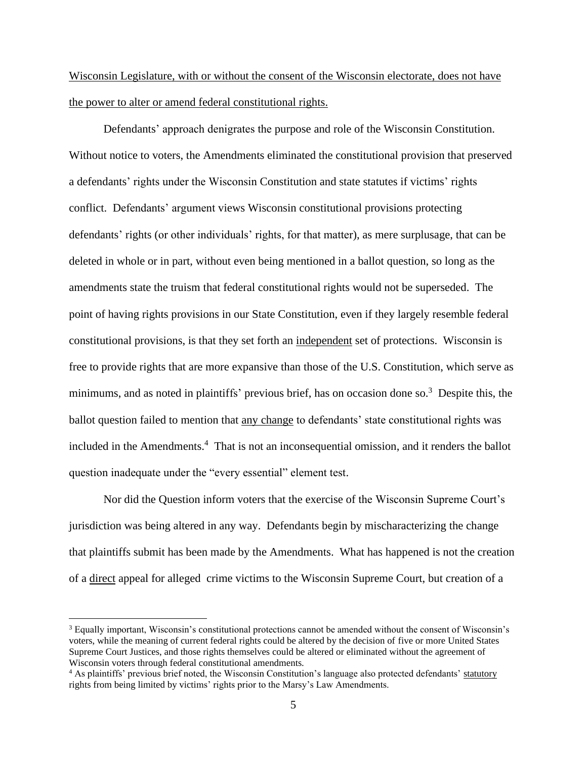Wisconsin Legislature, with or without the consent of the Wisconsin electorate, does not have the power to alter or amend federal constitutional rights.

Defendants' approach denigrates the purpose and role of the Wisconsin Constitution. Without notice to voters, the Amendments eliminated the constitutional provision that preserved a defendants' rights under the Wisconsin Constitution and state statutes if victims' rights conflict. Defendants' argument views Wisconsin constitutional provisions protecting defendants' rights (or other individuals' rights, for that matter), as mere surplusage, that can be deleted in whole or in part, without even being mentioned in a ballot question, so long as the amendments state the truism that federal constitutional rights would not be superseded. The point of having rights provisions in our State Constitution, even if they largely resemble federal constitutional provisions, is that they set forth an independent set of protections. Wisconsin is free to provide rights that are more expansive than those of the U.S. Constitution, which serve as minimums, and as noted in plaintiffs' previous brief, has on occasion done so.<sup>3</sup> Despite this, the ballot question failed to mention that any change to defendants' state constitutional rights was included in the Amendments.<sup>4</sup> That is not an inconsequential omission, and it renders the ballot question inadequate under the "every essential" element test.

Nor did the Question inform voters that the exercise of the Wisconsin Supreme Court's jurisdiction was being altered in any way. Defendants begin by mischaracterizing the change that plaintiffs submit has been made by the Amendments. What has happened is not the creation of a direct appeal for alleged crime victims to the Wisconsin Supreme Court, but creation of a

<sup>&</sup>lt;sup>3</sup> Equally important, Wisconsin's constitutional protections cannot be amended without the consent of Wisconsin's voters, while the meaning of current federal rights could be altered by the decision of five or more United States Supreme Court Justices, and those rights themselves could be altered or eliminated without the agreement of Wisconsin voters through federal constitutional amendments.

<sup>&</sup>lt;sup>4</sup> As plaintiffs' previous brief noted, the Wisconsin Constitution's language also protected defendants' statutory rights from being limited by victims' rights prior to the Marsy's Law Amendments.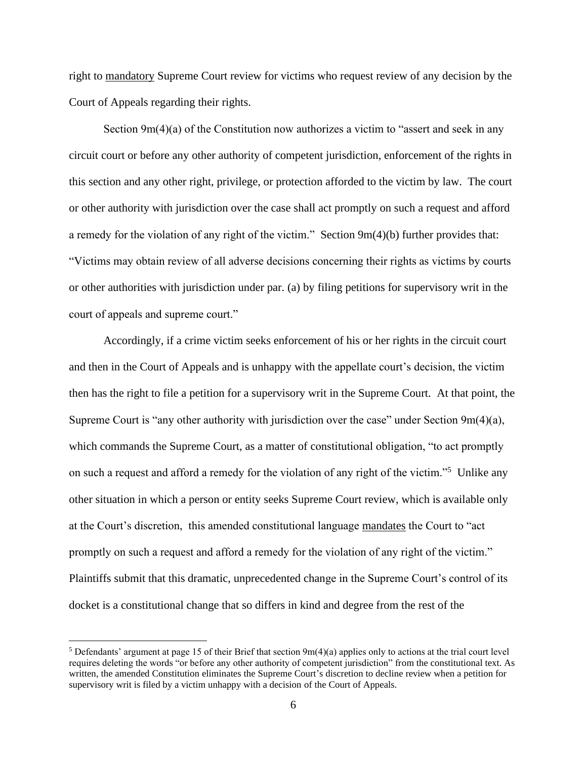right to mandatory Supreme Court review for victims who request review of any decision by the Court of Appeals regarding their rights.

Section  $9m(4)(a)$  of the Constitution now authorizes a victim to "assert and seek in any circuit court or before any other authority of competent jurisdiction, enforcement of the rights in this section and any other right, privilege, or protection afforded to the victim by law. The court or other authority with jurisdiction over the case shall act promptly on such a request and afford a remedy for the violation of any right of the victim." Section 9m(4)(b) further provides that: "Victims may obtain review of all adverse decisions concerning their rights as victims by courts or other authorities with jurisdiction under par. (a) by filing petitions for supervisory writ in the court of appeals and supreme court."

Accordingly, if a crime victim seeks enforcement of his or her rights in the circuit court and then in the Court of Appeals and is unhappy with the appellate court's decision, the victim then has the right to file a petition for a supervisory writ in the Supreme Court. At that point, the Supreme Court is "any other authority with jurisdiction over the case" under Section 9m(4)(a), which commands the Supreme Court, as a matter of constitutional obligation, "to act promptly on such a request and afford a remedy for the violation of any right of the victim."<sup>5</sup> Unlike any other situation in which a person or entity seeks Supreme Court review, which is available only at the Court's discretion, this amended constitutional language mandates the Court to "act promptly on such a request and afford a remedy for the violation of any right of the victim." Plaintiffs submit that this dramatic, unprecedented change in the Supreme Court's control of its docket is a constitutional change that so differs in kind and degree from the rest of the

<sup>&</sup>lt;sup>5</sup> Defendants' argument at page 15 of their Brief that section  $9m(4)(a)$  applies only to actions at the trial court level requires deleting the words "or before any other authority of competent jurisdiction" from the constitutional text. As written, the amended Constitution eliminates the Supreme Court's discretion to decline review when a petition for supervisory writ is filed by a victim unhappy with a decision of the Court of Appeals.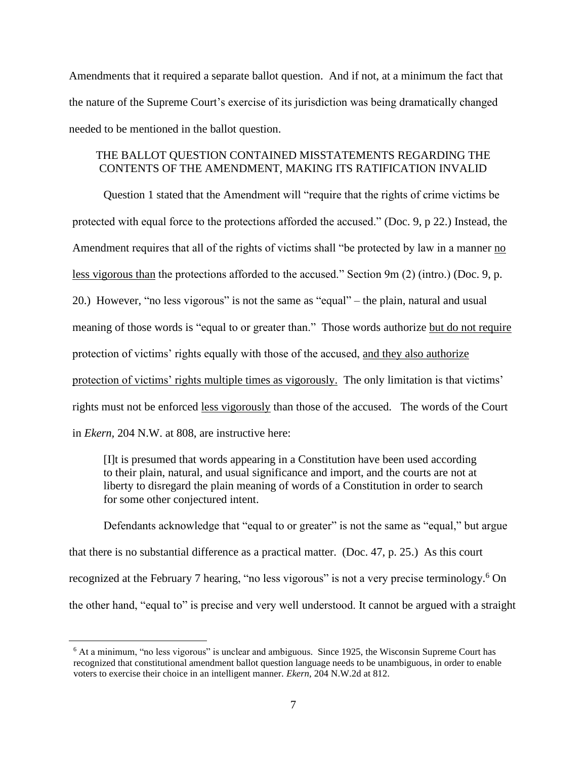Amendments that it required a separate ballot question. And if not, at a minimum the fact that the nature of the Supreme Court's exercise of its jurisdiction was being dramatically changed needed to be mentioned in the ballot question.

# THE BALLOT QUESTION CONTAINED MISSTATEMENTS REGARDING THE CONTENTS OF THE AMENDMENT, MAKING ITS RATIFICATION INVALID

Question 1 stated that the Amendment will "require that the rights of crime victims be protected with equal force to the protections afforded the accused." (Doc. 9, p 22.) Instead, the Amendment requires that all of the rights of victims shall "be protected by law in a manner no less vigorous than the protections afforded to the accused." Section 9m (2) (intro.) (Doc. 9, p. 20.) However, "no less vigorous" is not the same as "equal" – the plain, natural and usual meaning of those words is "equal to or greater than." Those words authorize but do not require protection of victims' rights equally with those of the accused, and they also authorize protection of victims' rights multiple times as vigorously. The only limitation is that victims' rights must not be enforced less vigorously than those of the accused. The words of the Court in *Ekern,* 204 N.W. at 808, are instructive here:

[I]t is presumed that words appearing in a Constitution have been used according to their plain, natural, and usual significance and import, and the courts are not at liberty to disregard the plain meaning of words of a Constitution in order to search for some other conjectured intent.

Defendants acknowledge that "equal to or greater" is not the same as "equal," but argue that there is no substantial difference as a practical matter. (Doc. 47, p. 25.) As this court recognized at the February 7 hearing, "no less vigorous" is not a very precise terminology.<sup>6</sup> On the other hand, "equal to" is precise and very well understood. It cannot be argued with a straight

 $6$  At a minimum, "no less vigorous" is unclear and ambiguous. Since 1925, the Wisconsin Supreme Court has recognized that constitutional amendment ballot question language needs to be unambiguous, in order to enable voters to exercise their choice in an intelligent manner. *Ekern*, 204 N.W.2d at 812.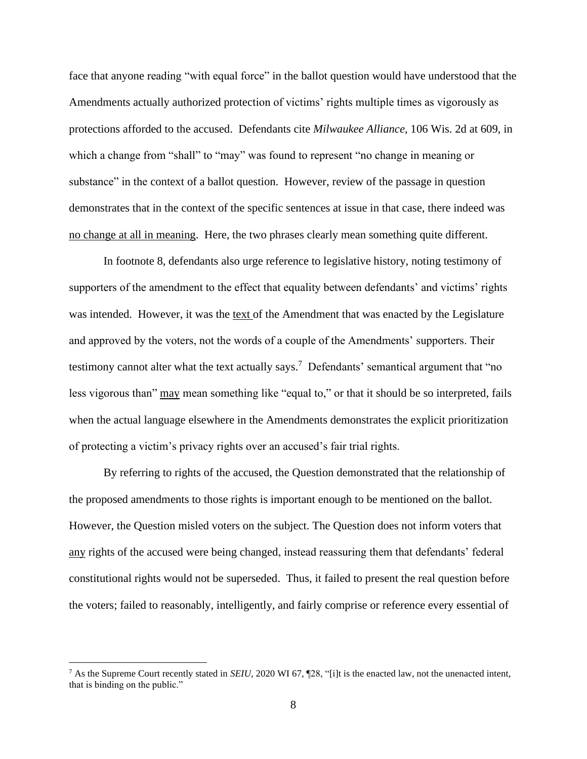face that anyone reading "with equal force" in the ballot question would have understood that the Amendments actually authorized protection of victims' rights multiple times as vigorously as protections afforded to the accused. Defendants cite *Milwaukee Alliance*, 106 Wis. 2d at 609, in which a change from "shall" to "may" was found to represent "no change in meaning or substance" in the context of a ballot question. However, review of the passage in question demonstrates that in the context of the specific sentences at issue in that case, there indeed was no change at all in meaning. Here, the two phrases clearly mean something quite different.

In footnote 8, defendants also urge reference to legislative history, noting testimony of supporters of the amendment to the effect that equality between defendants' and victims' rights was intended. However, it was the text of the Amendment that was enacted by the Legislature and approved by the voters, not the words of a couple of the Amendments' supporters. Their testimony cannot alter what the text actually says.<sup>7</sup> Defendants' semantical argument that "no less vigorous than" may mean something like "equal to," or that it should be so interpreted, fails when the actual language elsewhere in the Amendments demonstrates the explicit prioritization of protecting a victim's privacy rights over an accused's fair trial rights.

By referring to rights of the accused, the Question demonstrated that the relationship of the proposed amendments to those rights is important enough to be mentioned on the ballot. However, the Question misled voters on the subject. The Question does not inform voters that any rights of the accused were being changed, instead reassuring them that defendants' federal constitutional rights would not be superseded. Thus, it failed to present the real question before the voters; failed to reasonably, intelligently, and fairly comprise or reference every essential of

<sup>7</sup> As the Supreme Court recently stated in *SEIU,* 2020 WI 67, ¶28, "[i]t is the enacted law, not the unenacted intent, that is binding on the public."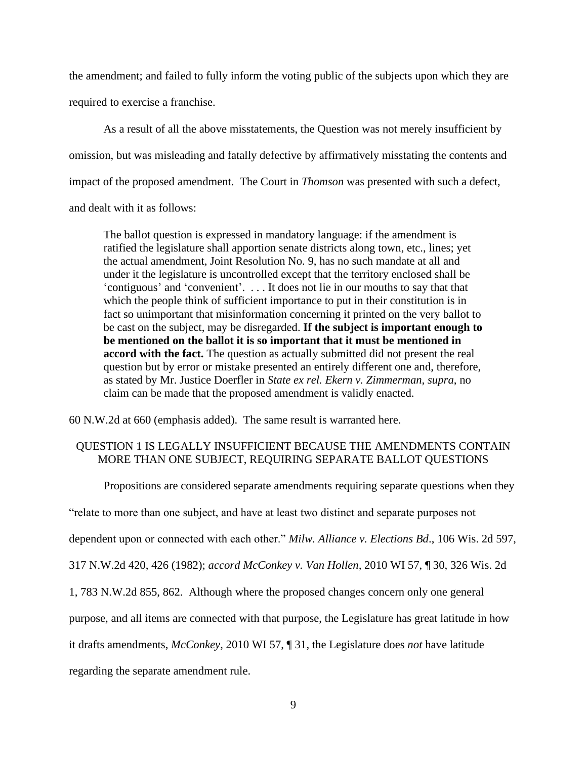the amendment; and failed to fully inform the voting public of the subjects upon which they are required to exercise a franchise.

As a result of all the above misstatements, the Question was not merely insufficient by omission, but was misleading and fatally defective by affirmatively misstating the contents and impact of the proposed amendment. The Court in *Thomson* was presented with such a defect, and dealt with it as follows:

The ballot question is expressed in mandatory language: if the amendment is ratified the legislature shall apportion senate districts along town, etc., lines; yet the actual amendment, Joint Resolution No. 9, has no such mandate at all and under it the legislature is uncontrolled except that the territory enclosed shall be 'contiguous' and 'convenient'. . . . It does not lie in our mouths to say that that which the people think of sufficient importance to put in their constitution is in fact so unimportant that misinformation concerning it printed on the very ballot to be cast on the subject, may be disregarded. **If the subject is important enough to be mentioned on the ballot it is so important that it must be mentioned in accord with the fact.** The question as actually submitted did not present the real question but by error or mistake presented an entirely different one and, therefore, as stated by Mr. Justice Doerfler in *[State ex rel. Ekern v. Zimmerman, supra](https://advance.lexis.com/document/?pdmfid=1000516&crid=096f0d25-0c1b-4c17-9325-e5c73f0b4f4e&pddocfullpath=%2Fshared%2Fdocument%2Fcases%2Furn%3AcontentItem%3A3RRR-2670-003V-H3DC-00000-00&pddocid=urn%3AcontentItem%3A3RRR-2670-003V-H3DC-00000-00&pdcontentcomponentid=10983&pdshepid=urn%3AcontentItem%3A7XW6-V0G1-2NSD-W3GR-00000-00&pdteaserkey=sr0&pditab=allpods&ecomp=spnqk&earg=sr0&prid=1c90c528-d63c-4e68-850f-16bd8c42209b)*, no claim can be made that the proposed amendment is validly enacted.

60 N.W.2d at 660 (emphasis added). The same result is warranted here.

## QUESTION 1 IS LEGALLY INSUFFICIENT BECAUSE THE AMENDMENTS CONTAIN MORE THAN ONE SUBJECT, REQUIRING SEPARATE BALLOT QUESTIONS

Propositions are considered separate amendments requiring separate questions when they

"relate to more than one subject, and have at least two distinct and separate purposes not

dependent upon or connected with each other." *Milw. Alliance v. Elections Bd*., 106 Wis. 2d 597,

317 N.W.2d 420, 426 (1982); *accord McConkey v. Van Hollen,* 2010 WI 57, ¶ 30, 326 Wis. 2d

1, 783 N.W.2d 855, 862. Although where the proposed changes concern only one general

purpose, and all items are connected with that purpose, the Legislature has great latitude in how

it drafts amendments, *McConkey*, 2010 WI 57, ¶ 31, the Legislature does *not* have latitude

regarding the separate amendment rule.